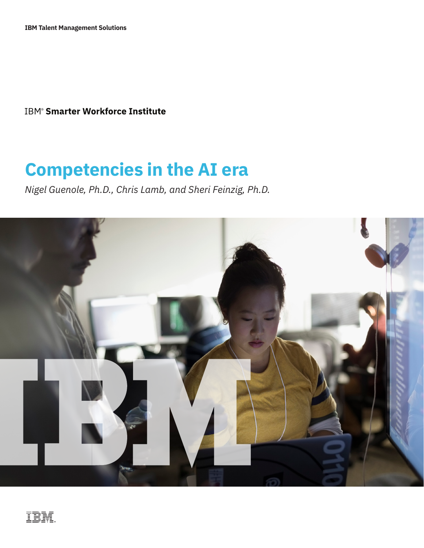**IBM<sup>®</sup> Smarter Workforce Institute** 

# **Competencies in the AI era**

*Nigel Guenole, Ph.D., Chris Lamb, and Sheri Feinzig, Ph.D.*

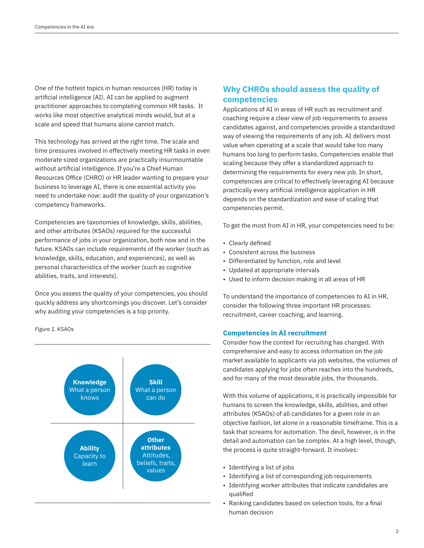One of the hottest topics in human resources (HR) today is artificial intelligence (AI). AI can be applied to augment practitioner approaches to completing common HR tasks. It works like most objective analytical minds would, but at a scale and speed that humans alone cannot match.

This technology has arrived at the right time. The scale and time pressures involved in effectively meeting HR tasks in even moderate sized organizations are practically insurmountable without artificial intelligence. If you're a Chief Human Resources Office (CHRO) or HR leader wanting to prepare your business to leverage AI, there is one essential activity you need to undertake now: audit the quality of your organization's competency frameworks.

Competencies are taxonomies of knowledge, skills, abilities, and other attributes (KSAOs) required for the successful performance of jobs in your organization, both now and in the future. KSAOs can include requirements of the worker (such as knowledge, skills, education, and experiences), as well as personal characteristics of the worker (such as cognitive abilities, traits, and interests).

Once you assess the quality of your competencies, you should quickly address any shortcomings you discover. Let's consider why auditing your competencies is a top priority.

*Figure 1.* KSAOs



# **Why CHROs should assess the quality of competencies**

Applications of AI in areas of HR such as recruitment and coaching require a clear view of job requirements to assess candidates against, and competencies provide a standardized way of viewing the requirements of any job. AI delivers most value when operating at a scale that would take too many humans too long to perform tasks. Competencies enable that scaling because they offer a standardized approach to determining the requirements for every new job. In short, competencies are critical to effectively leveraging AI because practically every artificial intelligence application in HR depends on the standardization and ease of scaling that competencies permit.

To get the most from AI in HR, your competencies need to be:

- Clearly defined
- Consistent across the business
- Differentiated by function, role and level
- Updated at appropriate intervals
- Used to inform decision making in all areas of HR

To understand the importance of competencies to AI in HR, consider the following three important HR processes: recruitment, career coaching, and learning.

#### **Competencies in AI recruitment**

Consider how the context for recruiting has changed. With comprehensive and easy to access information on the job market available to applicants via job websites, the volumes of candidates applying for jobs often reaches into the hundreds, and for many of the most desirable jobs, the thousands.

With this volume of applications, it is practically impossible for humans to screen the knowledge, skills, abilities, and other attributes (KSAOs) of all candidates for a given role in an objective fashion, let alone in a reasonable timeframe. This is a task that screams for automation. The devil, however, is in the detail and automation can be complex. At a high level, though, the process is quite straight-forward. It involves:

- Identifying a list of jobs
- Identifying a list of corresponding job requirements
- Identifying worker attributes that indicate candidates are qualified
- Ranking candidates based on selection tools, for a final human decision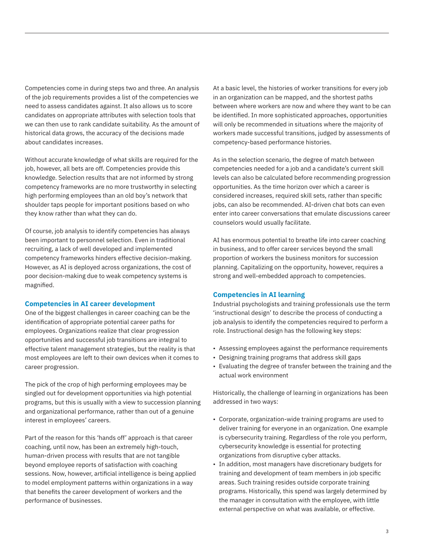Competencies come in during steps two and three. An analysis of the job requirements provides a list of the competencies we need to assess candidates against. It also allows us to score candidates on appropriate attributes with selection tools that we can then use to rank candidate suitability. As the amount of historical data grows, the accuracy of the decisions made about candidates increases.

Without accurate knowledge of what skills are required for the job, however, all bets are off. Competencies provide this knowledge. Selection results that are not informed by strong competency frameworks are no more trustworthy in selecting high performing employees than an old boy's network that shoulder taps people for important positions based on who they know rather than what they can do.

Of course, job analysis to identify competencies has always been important to personnel selection. Even in traditional recruiting, a lack of well developed and implemented competency frameworks hinders effective decision-making. However, as AI is deployed across organizations, the cost of poor decision-making due to weak competency systems is magnified.

#### **Competencies in AI career development**

One of the biggest challenges in career coaching can be the identification of appropriate potential career paths for employees. Organizations realize that clear progression opportunities and successful job transitions are integral to effective talent management strategies, but the reality is that most employees are left to their own devices when it comes to career progression.

The pick of the crop of high performing employees may be singled out for development opportunities via high potential programs, but this is usually with a view to succession planning and organizational performance, rather than out of a genuine interest in employees' careers.

Part of the reason for this 'hands off' approach is that career coaching, until now, has been an extremely high-touch, human-driven process with results that are not tangible beyond employee reports of satisfaction with coaching sessions. Now, however, artificial intelligence is being applied to model employment patterns within organizations in a way that benefits the career development of workers and the performance of businesses.

At a basic level, the histories of worker transitions for every job in an organization can be mapped, and the shortest paths between where workers are now and where they want to be can be identified. In more sophisticated approaches, opportunities will only be recommended in situations where the majority of workers made successful transitions, judged by assessments of competency-based performance histories.

As in the selection scenario, the degree of match between competencies needed for a job and a candidate's current skill levels can also be calculated before recommending progression opportunities. As the time horizon over which a career is considered increases, required skill sets, rather than specific jobs, can also be recommended. AI-driven chat bots can even enter into career conversations that emulate discussions career counselors would usually facilitate.

AI has enormous potential to breathe life into career coaching in business, and to offer career services beyond the small proportion of workers the business monitors for succession planning. Capitalizing on the opportunity, however, requires a strong and well-embedded approach to competencies.

#### **Competencies in AI learning**

Industrial psychologists and training professionals use the term 'instructional design' to describe the process of conducting a job analysis to identify the competencies required to perform a role. Instructional design has the following key steps:

- Assessing employees against the performance requirements
- Designing training programs that address skill gaps
- Evaluating the degree of transfer between the training and the actual work environment

Historically, the challenge of learning in organizations has been addressed in two ways:

- Corporate, organization-wide training programs are used to deliver training for everyone in an organization. One example is cybersecurity training. Regardless of the role you perform, cybersecurity knowledge is essential for protecting organizations from disruptive cyber attacks.
- In addition, most managers have discretionary budgets for training and development of team members in job specific areas. Such training resides outside corporate training programs. Historically, this spend was largely determined by the manager in consultation with the employee, with little external perspective on what was available, or effective.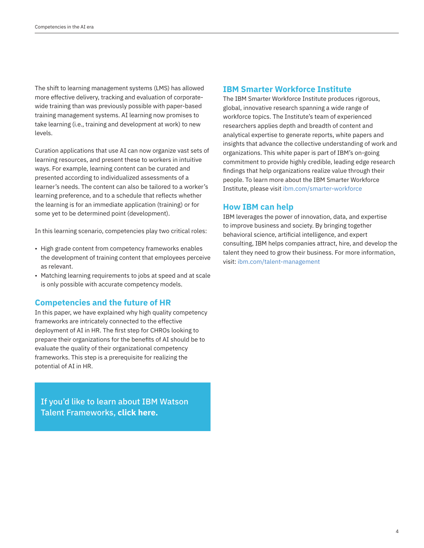The shift to learning management systems (LMS) has allowed more effective delivery, tracking and evaluation of corporatewide training than was previously possible with paper-based training management systems. AI learning now promises to take learning (i.e., training and development at work) to new levels.

Curation applications that use AI can now organize vast sets of learning resources, and present these to workers in intuitive ways. For example, learning content can be curated and presented according to individualized assessments of a learner's needs. The content can also be tailored to a worker's learning preference, and to a schedule that reflects whether the learning is for an immediate application (training) or for some yet to be determined point (development).

In this learning scenario, competencies play two critical roles:

- High grade content from competency frameworks enables the development of training content that employees perceive as relevant.
- Matching learning requirements to jobs at speed and at scale is only possible with accurate competency models.

## **Competencies and the future of HR**

In this paper, we have explained why high quality competency frameworks are intricately connected to the effective deployment of AI in HR. The first step for CHROs looking to prepare their organizations for the benefits of AI should be to evaluate the quality of their organizational competency frameworks. This step is a prerequisite for realizing the potential of AI in HR.

[If you'd like to learn about IBM Watson](https://ibm.biz/talentframeworks)  Talent Frameworks, **click here.**

## **IBM Smarter Workforce Institute**

The IBM Smarter Workforce Institute produces rigorous, global, innovative research spanning a wide range of workforce topics. The Institute's team of experienced researchers applies depth and breadth of content and analytical expertise to generate reports, white papers and insights that advance the collective understanding of work and organizations. This white paper is part of IBM's on-going commitment to provide highly credible, leading edge research findings that help organizations realize value through their people. To learn more about the IBM Smarter Workforce Institute, please visit [ibm.com/smarter-workforce](https://www.ibm.com/smarter-workforce)

## **How IBM can help**

IBM leverages the power of innovation, data, and expertise to improve business and society. By bringing together behavioral science, artificial intelligence, and expert consulting, IBM helps companies attract, hire, and develop the talent they need to grow their business. For more information, visit: [ibm.com/talent-management](https://www.ibm.com/talent-management)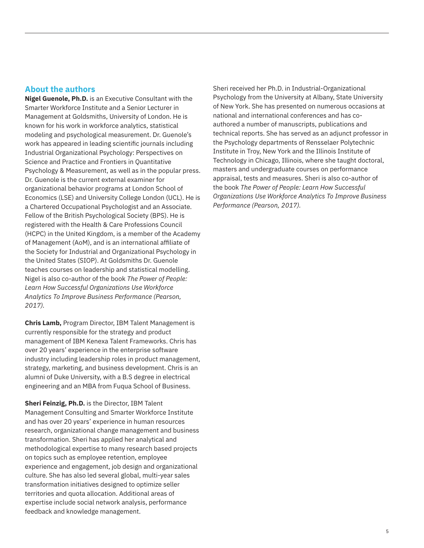## **About the authors**

**Nigel Guenole, Ph.D.** is an Executive Consultant with the Smarter Workforce Institute and a Senior Lecturer in Management at Goldsmiths, University of London. He is known for his work in workforce analytics, statistical modeling and psychological measurement. Dr. Guenole's work has appeared in leading scientific journals including Industrial Organizational Psychology: Perspectives on Science and Practice and Frontiers in Quantitative Psychology & Measurement, as well as in the popular press. Dr. Guenole is the current external examiner for organizational behavior programs at London School of Economics (LSE) and University College London (UCL). He is a Chartered Occupational Psychologist and an Associate. Fellow of the British Psychological Society (BPS). He is registered with the Health & Care Professions Council (HCPC) in the United Kingdom, is a member of the Academy of Management (AoM), and is an international affiliate of the Society for Industrial and Organizational Psychology in the United States (SIOP). At Goldsmiths Dr. Guenole teaches courses on leadership and statistical modelling. Nigel is also co-author of the book *The Power of People: Learn How Successful Organizations Use Workforce Analytics To Improve Business Performance (Pearson, 2017).*

**Chris Lamb,** Program Director, IBM Talent Management is currently responsible for the strategy and product management of IBM Kenexa Talent Frameworks. Chris has over 20 years' experience in the enterprise software industry including leadership roles in product management, strategy, marketing, and business development. Chris is an alumni of Duke University, with a B.S degree in electrical engineering and an MBA from Fuqua School of Business.

**Sheri Feinzig, Ph.D.** is the Director, IBM Talent Management Consulting and Smarter Workforce Institute and has over 20 years' experience in human resources research, organizational change management and business transformation. Sheri has applied her analytical and methodological expertise to many research based projects on topics such as employee retention, employee experience and engagement, job design and organizational culture. She has also led several global, multi-year sales transformation initiatives designed to optimize seller territories and quota allocation. Additional areas of expertise include social network analysis, performance feedback and knowledge management.

Sheri received her Ph.D. in Industrial-Organizational Psychology from the University at Albany, State University of New York. She has presented on numerous occasions at national and international conferences and has coauthored a number of manuscripts, publications and technical reports. She has served as an adjunct professor in the Psychology departments of Rensselaer Polytechnic Institute in Troy, New York and the Illinois Institute of Technology in Chicago, Illinois, where she taught doctoral, masters and undergraduate courses on performance appraisal, tests and measures. Sheri is also co-author of the book *The Power of People: Learn How Successful Organizations Use Workforce Analytics To Improve Business Performance (Pearson, 2017).*